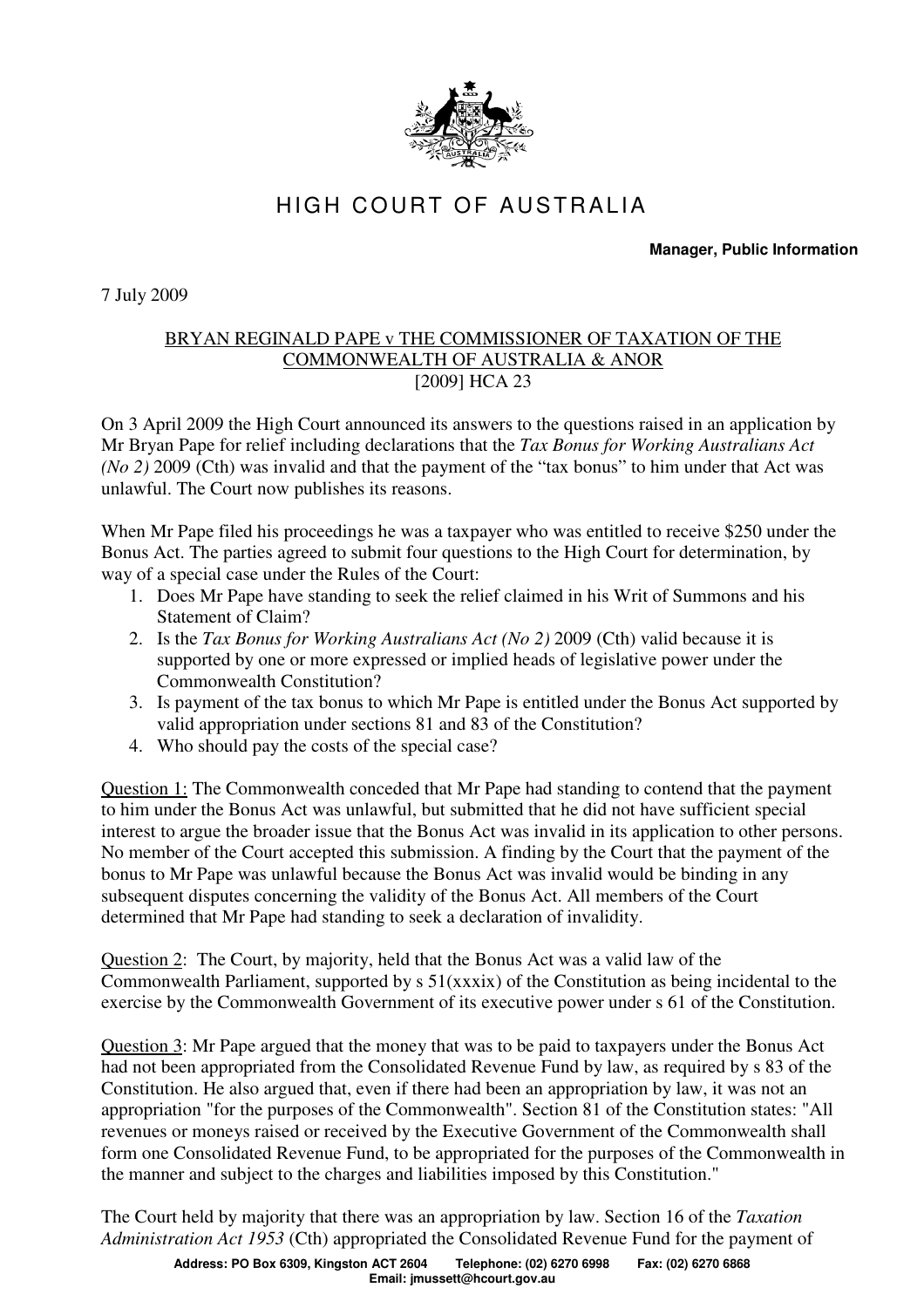

## HIGH COURT OF AUSTRALIA

**Manager, Public Information** 

7 July 2009

## BRYAN REGINALD PAPE v THE COMMISSIONER OF TAXATION OF THE COMMONWEALTH OF AUSTRALIA & ANOR [2009] HCA 23

On 3 April 2009 the High Court announced its answers to the questions raised in an application by Mr Bryan Pape for relief including declarations that the *Tax Bonus for Working Australians Act (No 2)* 2009 (Cth) was invalid and that the payment of the "tax bonus" to him under that Act was unlawful. The Court now publishes its reasons.

When Mr Pape filed his proceedings he was a taxpayer who was entitled to receive \$250 under the Bonus Act. The parties agreed to submit four questions to the High Court for determination, by way of a special case under the Rules of the Court:

- 1. Does Mr Pape have standing to seek the relief claimed in his Writ of Summons and his Statement of Claim?
- 2. Is the *Tax Bonus for Working Australians Act (No 2)* 2009 (Cth) valid because it is supported by one or more expressed or implied heads of legislative power under the Commonwealth Constitution?
- 3. Is payment of the tax bonus to which Mr Pape is entitled under the Bonus Act supported by valid appropriation under sections 81 and 83 of the Constitution?
- 4. Who should pay the costs of the special case?

Question 1: The Commonwealth conceded that Mr Pape had standing to contend that the payment to him under the Bonus Act was unlawful, but submitted that he did not have sufficient special interest to argue the broader issue that the Bonus Act was invalid in its application to other persons. No member of the Court accepted this submission. A finding by the Court that the payment of the bonus to Mr Pape was unlawful because the Bonus Act was invalid would be binding in any subsequent disputes concerning the validity of the Bonus Act. All members of the Court determined that Mr Pape had standing to seek a declaration of invalidity.

Question 2: The Court, by majority, held that the Bonus Act was a valid law of the Commonwealth Parliament, supported by s 51(xxxix) of the Constitution as being incidental to the exercise by the Commonwealth Government of its executive power under s 61 of the Constitution.

Question 3: Mr Pape argued that the money that was to be paid to taxpayers under the Bonus Act had not been appropriated from the Consolidated Revenue Fund by law, as required by s 83 of the Constitution. He also argued that, even if there had been an appropriation by law, it was not an appropriation "for the purposes of the Commonwealth". Section 81 of the Constitution states: "All revenues or moneys raised or received by the Executive Government of the Commonwealth shall form one Consolidated Revenue Fund, to be appropriated for the purposes of the Commonwealth in the manner and subject to the charges and liabilities imposed by this Constitution."

The Court held by majority that there was an appropriation by law. Section 16 of the *Taxation Administration Act 1953* (Cth) appropriated the Consolidated Revenue Fund for the payment of